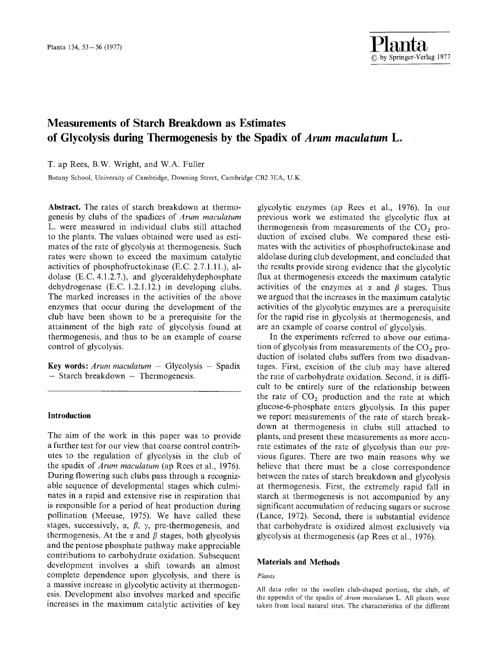# **Measurements of Starch Breakdown as Estimates of Glycolysis during Thermogenesis by the Spadix of** *Arum maculatum L.*

**T.** ap Rees, **B.W.** Wright, and W.A. Fuller

Botany School, University of Cambridge, Downing Street, Cambridge CB2 3EA, U.K.

**Abstract.** The rates of starch breakdown at thermogenesis by clubs of the spadices of *Arum maculatum*  L. were measured in individual clubs still attached to the plants. The values obtained were used as estimates of the rate of glycolysis at thermogenesis. Such rates were shown to exceed the maximum catalytic activities of phosphofructokinase (E.C. 2.7.1.11.), aldolase (E.C. 4.1.2.7.), and glyceraldehydephosphate dehydrogenase (E.C. 1.2.1.12.) in developing clubs. The marked increases in the activities of the above enzymes that occur during the development of the club have been shown to be a prerequisite for the attainment of the high rate of glycolysis found at thermogenesis, and thus to be an example of coarse control of glycolysis.

**Key words:** *Arum maculatum -* Glycolysis - Spadix  $-$  Starch breakdown  $-$  Thermogenesis.

# **Introduction**

The aim of the work in this paper was to provide a further test for our view that coarse control contributes to the regulation of glycolysis in the club of the spadix of *Arum maculatum* (ap Rees et al., 1976). During flowering such clubs pass through a recognizable sequence of developmental stages which culminates in a rapid and extensive rise in respiration that is responsible for a period of heat production during pollination (Meeuse, 1975). We have called these stages, successively,  $\alpha$ ,  $\beta$ ,  $\gamma$ , pre-thermogenesis, and thermogenesis. At the  $\alpha$  and  $\beta$  stages, both glycolysis and the pentose phosphate pathway make appreciable contributions to carbohydrate oxidation. Subsequent development involves a shift towards an almost complete dependence upon glycolysis, and there is a massive increase in glycolytic activity at thermogenesis. Development also involves marked and specific increases in the maximum catalytic activities of key

glycolytic enzymes (ap Rees et al., 1976). In our previous work we estimated the glycolytic flux at thermogenesis from measurements of the  $CO<sub>2</sub>$  production of excised clubs. We compared these estimates with the activities of phosphofructokinase and aldolase during club development, and concluded that the results provide strong evidence that the glycolytic flux at thermogenesis exceeds the maximum catalytic activities of the enzymes at  $\alpha$  and  $\beta$  stages. Thus we argued that the increases in the maximum catalytic activities of the glycolytic enzymes are a prerequisite for the rapid rise in glycolysis at thermogenesis, and are an example of coarse control of glycolysis.

In the experiments referred to above our estimation of glycolysis from measurements of the  $CO<sub>2</sub>$  production of isolated clubs suffers from two disadvantages. First, excision of the club may have altered the rate of carbohydrate oxidation. Second, it is difficult to be entirely sure of the relationship between the rate of  $CO<sub>2</sub>$  production and the rate at which glucose-6-phosphate enters glycolysis. In this paper we report measurements of the rate of starch breakdown at thermogenesis in clubs still attached to plants, and present these measurements as more accurate estimates of the rate of glycolysis than our previous figures. There are two main reasons why we believe that there must be a close correspondence between the rates of starch breakdown and glycolysis at thermogenesis. First, the extremely rapid fall in starch at thermogenesis is not accompanied by any significant accumulation of reducing sugars or sucrose (Lance, 1972). Second, there is substantial evidence that carbohydrate is oxidized almost exclusively via glycolysis at thermogenesis (ap Rees et al., 1976).

# **Materials and Methods**

#### *Plants*

All data refer to the swollen club-shaped portion, the club, of the appendix of the spadix of *Arum maculatum* L. All plants were taken from locai natural sites. The characteristics of the different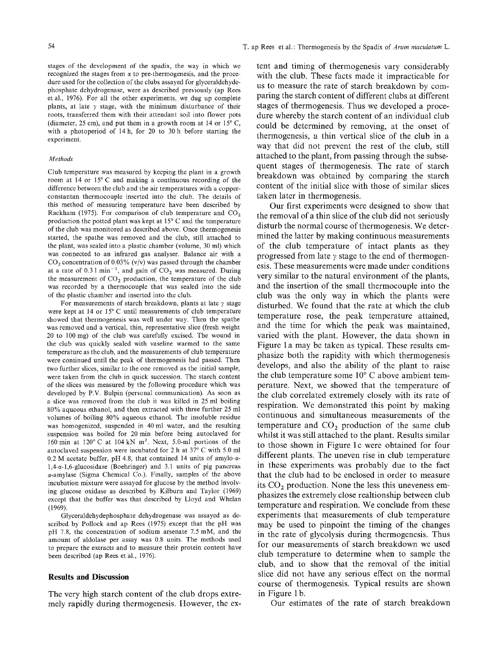stages of the deveiopment of the spadix, the way in which we recognized the stages from  $\alpha$  to pre-thermogenesis, and the procedure used for the collection of the clubs assayed for glyceraldehydephosphate dehydrogenase, were as described previously (ap Rees et al., 1976). For all the other experiments, we dug up complete plants, at late  $\gamma$  stage, with the minimum disturbance of their roots, transferred them with their attendant soil into flower pots (diameter, 25 cm), and put them in a growth room at 14 or  $15^{\circ}$  C, with a photoperiod of 14 h, for 20 to 30 h before starting the experiment.

#### *Methods*

Club temperature was measured by keeping the plant in a growth room at 14 or  $15^{\circ}$  C and making a continuous recording of the difference between the club and the air temperatures with a copperconstantan thermocouple inserted into the club. The details of this method of measuring temperature have been described by Rackham (1975). For comparison of club temperature and  $CO<sub>2</sub>$ production the potted plant was kept at  $15^{\circ}$  C and the temperature of the club was monitored as described above. Once thermogenesis started, the spathe was removed and the club, still attached to the plant, was sealed into a plastic chamber (volume, 30 ml) which was connected to an infrared gas analyser. Balance air with a  $CO<sub>2</sub>$  concentration of 0.03% (v/v) was passed through the chamber at a rate of  $0.31$  min<sup>-1</sup>, and gain of  $CO<sub>2</sub>$  was measured. During the measurement of  $CO<sub>2</sub>$  production, the temperature of the club was recorded by a thermocouple that was sealed into the side of the plastic chamber and inserted into the club.

For measurements of starch breakdown, plants at late  $\gamma$  stage were kept at 14 or  $15^{\circ}$  C until measurements of club temperature showed that thermogenesis was well under way. Then the spathe was removed and a vertical, thin, representative slice (fresh weight 20 to 100 mg) of the club was carefully excised. The wound in the club was quickly sealed with vaseline warmed to the same temperature as the club, and the measurements of club temperature were continued until the peak of thermogenesis had passed. Then two further slices, similar to the one removed as the initial sample, were taken from the club in quick succession. The starch content of the slices was measured by the following procedure which was developed by P.V. Bulpin (personal communication). As soon as a slice was removed from the club it was killed in 25 ml boiling 80% aqueous ethanol, and then extracted with three further 25 ml volumes of boiling 80% aqueous ethanol. The insoluble residue was homogenized, suspended in 40 ml water, and the resulting suspension was boiled for 20 min before being autoclaved for 160 min at  $120^{\circ}$  C at 104 kN m<sup>2</sup>. Next, 5.0-ml portions of the autoclaved suspension were incubated for 2 h at  $37^{\circ}$  C with 5.0 ml  $0.2$  M acetate buffer, pH 4.8, that contained 14 units of amylo- $\alpha$ -1,4-c~-l,6-glucosidase (Boehringer) and 3.1 units of pig pancreas  $\alpha$ -amylase (Sigma Chemical Co.). Finally, samples of the above incubation mixture were assayed for glucose by the method involving glucose oxidase as described by Kilburn and Taylor (1969) except that the buffer was that described by Lloyd and Whelan (1969).

Glyceraldehydephosphate dehydrogenase was assayed as described by Pollock and ap Rees (1975) except that the pH was  $pH$  7.8, the concentration of sodium arsenate 7.5 mM, and the amount of aldolase per assay was 0.8 units. The methods used to prepare the extracts and to measure their protein content have been described (ap Rees et al., 1976).

#### **Results and Discussion**

The very high starch content of the club drops extremely rapidly during thermogenesis. However, the extent and timing of thermogenesis vary considerably with the club. These facts made it impracticable for us to measure the rate of starch breakdown by comparing the starch content of different clubs at different stages of thermogenesis. Thus we developed a procedure whereby the starch content of an individual club could be determined by removing, at the onset of thermogenesis, a thin vertical slice of the club in a way that did not prevent the rest of the club, still attached to the plant, from passing through the subsequent stages of thermogenesis. The rate of starch breakdown was obtained by comparing the starch content of the initial slice with those of similar slices taken later in thermogenesis.

Our first experiments were designed to show that the removal of a thin slice of the club did not seriously disturb the normal course of thermogenesis. We determined the latter by making continuous measurements of the club temperature of intact plants as they progressed from late  $\gamma$  stage to the end of thermogenesis. These measurements were made under conditions very similar to the natural environment of the plants, and the insertion of the small thermocouple into the club was the only way in which the plants were disturbed. We found that the rate at which the club temperature rose, the peak temperature attained, and the time for which the peak was maintained, varied with the plant. However, the data shown in Figure 1 a may be taken as typical. These results emphasize both the rapidity with which thermogenesis develops, and also the ability of the plant to raise the club temperature some  $10^{\circ}$  C above ambient temperature. Next, we showed that the temperature of the club correlated extremely closely with its rate of respiration. We demonstrated this point by making continuous and simultaneous measurements of the temperature and  $CO<sub>2</sub>$  production of the same club whilst it was still attached to the plant. Results similar to those shown in Figure 1c were obtained for four different plants. The uneven rise in club temperature in these experiments was probably due to the fact that the club had to be enclosed in order to measure its  $CO<sub>2</sub>$  production. None the less this uneveness emphasizes the extremely close realtionship between club temperature and respiration. We conclude from these experiments that measurements of club temperature may be used to pinpoint the timing of the changes in the rate of glycolysis during thermogenesis. Thus for our measurements of starch breakdown we used club temperature to determine when to sample the club, and to show that the removal of the initial slice did not have any serious effect on the normal course of thermogenesis. Typical results are shown in Figure 1 b.

Our estimates of the rate of starch breakdown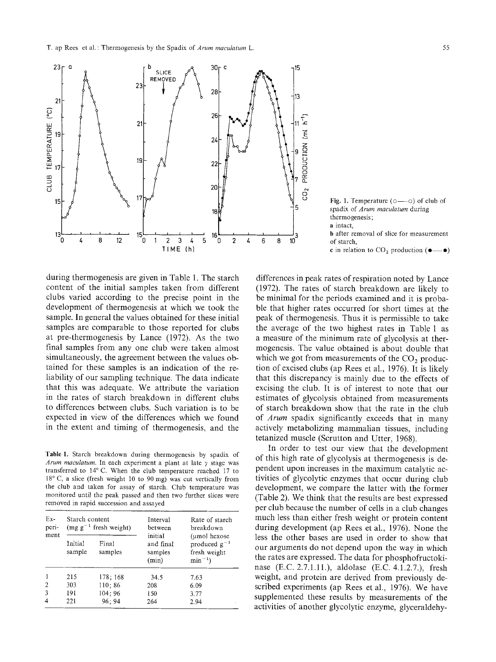

during thermogenesis are given in Table 1. The starch content of the initial samples taken from different clubs varied according to the precise point in the development of thermogenesis at which we took the sample. In general the values obtained for these initial samples are comparable to those reported for clubs at pre-thermogenesis by Lance (1972). As the two final samples from any one club were taken almost simultaneously, the agreement between the values obtained for these samples is an indication of the reliability of our sampling technique. The data indicate that this was adequate. We attribute the variation in the rates of starch breakdown in different clubs to differences between clubs. Such variation is to be expected in view of the differences which we found in the extent and timing of thermogenesis, and the

Table 1. Starch breakdown during thermogenesis by spadix of *Arum maculatum.* In each experiment a plant at late y stage was transferred to 14° C. When the club temperature reached 17 to  $18^{\circ}$  C, a slice (fresh weight 10 to 90 mg) was cut vertically from the club and taken for assay of starch. Club temperature was monitored until the peak passed and then two further slices were removed in rapid succession and assayed

| $Ex-$<br>peri-<br>ment | Starch content<br>(mg $g^{-1}$ fresh weight) |                  | Interval<br>between                      | Rate of starch<br>breakdown                                       |  |
|------------------------|----------------------------------------------|------------------|------------------------------------------|-------------------------------------------------------------------|--|
|                        | Initial<br>sample                            | Final<br>samples | initial<br>and final<br>samples<br>(min) | (umol hexose)<br>produced $g^{-1}$<br>fresh weight<br>$\min^{-1}$ |  |
|                        | 215                                          | 178; 168         | 34.5                                     | 7.63                                                              |  |
| $\overline{2}$         | 303                                          | 110;86           | 208                                      | 6.09                                                              |  |
| 3                      | 191                                          | 104:96           | 150                                      | 3.77                                                              |  |
| 4                      | 221                                          | 96:94            | 264                                      | 2.94                                                              |  |

Fig. 1. Temperature  $(0 \rightarrow 0)$  of club of spadix of *Arum macutatum* during thermogenesis; a intact, b after removal of slice for measurement of starch, c in relation to  $CO_2$  production ( $\bullet$ — $\bullet$ )

differences in peak rates of respiration noted by Lance (1972). The rates of starch breakdown are likely to be minimal for the periods examined and it is probable that higher rates occurred for short times at the peak of thermogenesis. Thus it is permissible to take the average of the two highest rates in Table 1 as a measure of the minimum rate of glycolysis at thermogenesis. The value obtained is about double that which we got from measurements of the  $CO<sub>2</sub>$  production of excised clubs (ap Rees et al., 1976). It is likely that this discrepancy is mainly due to the effects of excising the club. It is of interest to note that our estimates of glycolysis obtained from measurements of starch breakdown show that the rate in the club of *Arum* spadix significantly exceeds that in many actively metabolizing mammalian tissues, including tetanized muscle (Scrutton and Utter, 1968).

In order to test our view that the development of this high rate of glycolysis at thermogenesis is dependent upon increases in the maximum catalytic activities of glycolytic enzymes that occur during club development, we compare the latter with the former (Table 2). We think that the results are best expressed per club because the number of cells in a club changes much less than either fresh weight or protein content during development (ap Rees et al., 1976). None the less the other bases are used in order to show that our arguments do not depend upon the way in which the rates are expressed. The data for phosphofructokinase (E.C. 2.7.1.11.), aldolase (E.C. 4.1.2.7.), fresh weight, and protein are derived from previously described experiments (ap Rees et al., 1976). We have supplemented these results by measurements of the activities of another glycolytic enzyme, glyceraldehy-